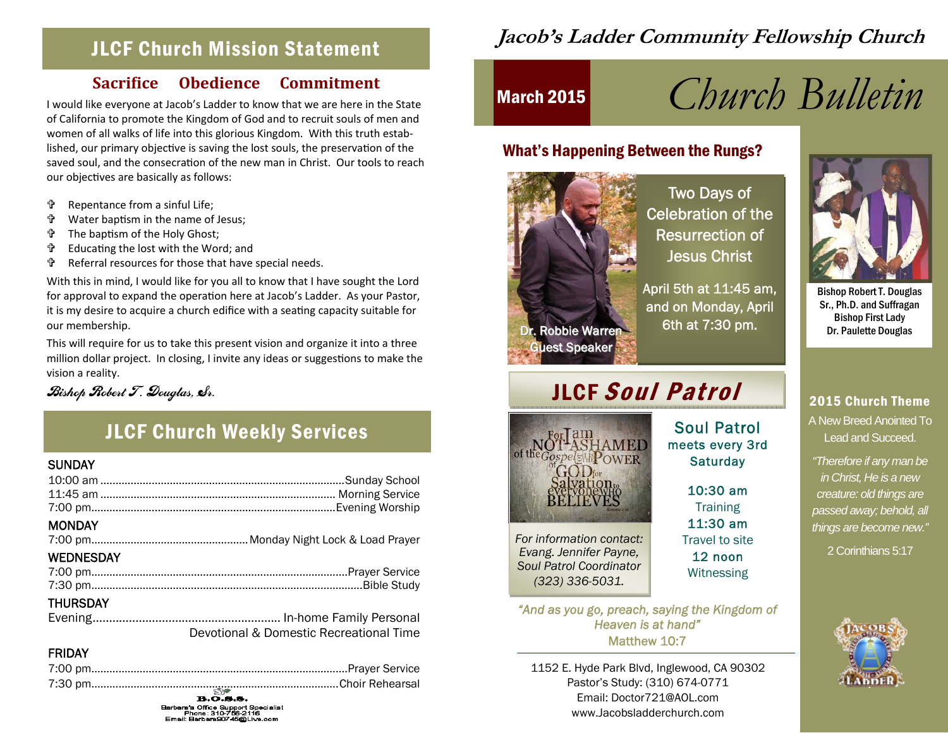# JLCF Church Mission Statement

#### **SacriϐiceObedience Commitment**

I would like everyone at Jacob's Ladder to know that we are here in the State of California to promote the Kingdom of God and to recruit souls of men and women of all walks of life into this glorious Kingdom. With this truth estab‐ lished, our primary objective is saving the lost souls, the preservation of the saved soul, and the consecration of the new man in Christ. Our tools to reach our objectives are basically as follows:

- Repentance from <sup>a</sup> sinful Life;
- Water bapƟsm in the name of Jesus;
- **t The baptism of the Holy Ghost;**
- EducaƟng the lost with the Word; and
- Referral resources for those that have special needs.

With this in mind, I would like for you all to know that I have sought the Lord for approval to expand the operation here at Jacob's Ladder. As your Pastor, it is my desire to acquire a church edifice with a seating capacity suitable for our membership.

This will require for us to take this present vision and organize it into <sup>a</sup> three million dollar project. In closing, I invite any ideas or suggestions to make the vision <sup>a</sup> reality.

Bishop Robert T. Douglas, Sr.

## JLCF Church Weekly Services

#### **SUNDAY**

| <b>MONDAY</b>    |  |
|------------------|--|
|                  |  |
| <b>WEDNESDAY</b> |  |
|                  |  |
|                  |  |
| <b>THURSDAY</b>  |  |
|                  |  |

Devotional & Domestic Recreational Time

#### FRIDAY

| <b>TA. CL. AL.AL.</b> |  |
|-----------------------|--|

3erbara's Office Support Specialist<br>Phone: 310-756-2116<br>Email: Barbara90745@Live.com

# **Jacob's Ladder Community Fellowship Church**

# March 2015 *Church Bulletin*

#### What's Happening Between the Rungs?



Two Days of Celebration of the Resurrection of Jesus Christ

April 5th at 11:45 am, and on Monday, April 6th at 7:30 pm.

Soul Patrol meets every 3rd **Saturday** 

> 10:30 am **Training** 11:30 am Travel to site 12 noon Witnessing

2015 Church Theme JLCF Soul Patrol

A New Breed Anointed To Lead and Succeed.

Bishop Robert T. Douglas Sr., Ph.D. and Suffragan Bishop First Lady Dr. Paulette Douglas

*"Therefore if any man be in Christ, He is a new creature: old things are passed away; behold, all things are become new."* 

2 Corinthians 5:17



*For information contact: Evang. Jennifer Payne, Soul Patrol Coordinator (323) 336-5031.* 

NOT ASHAMED

*"And as you go, preach, saying the Kingdom of Heaven is at hand"* Matthew 10:7

1152 E. Hyde Park Blvd, Inglewood, CA 90302 Pastor's Study: (310) 674-0771 Email: Doctor721@AOL.com www.Jacobsladderchurch.com